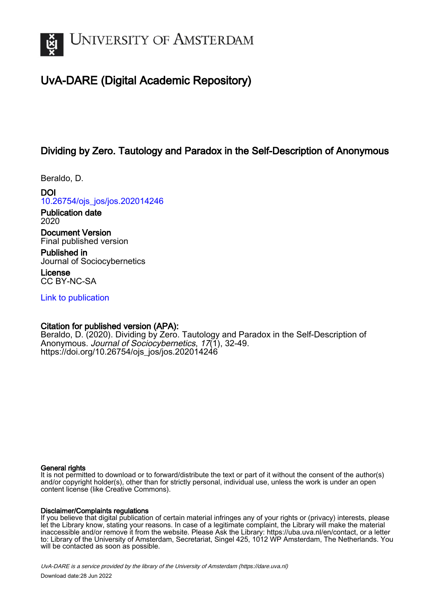

# UvA-DARE (Digital Academic Repository)

# Dividing by Zero. Tautology and Paradox in the Self-Description of Anonymous

Beraldo, D.

DOI [10.26754/ojs\\_jos/jos.202014246](https://doi.org/10.26754/ojs_jos/jos.202014246)

Publication date 2020

Document Version Final published version

Published in Journal of Sociocybernetics

License CC BY-NC-SA

[Link to publication](https://dare.uva.nl/personal/pure/en/publications/dividing-by-zero-tautology-and-paradox-in-the-selfdescription-of-anonymous(add161d3-9fe6-454d-9649-5e146bb8d9bb).html)

## Citation for published version (APA):

Beraldo, D. (2020). Dividing by Zero. Tautology and Paradox in the Self-Description of Anonymous. Journal of Sociocybernetics, 17(1), 32-49. [https://doi.org/10.26754/ojs\\_jos/jos.202014246](https://doi.org/10.26754/ojs_jos/jos.202014246)

#### General rights

It is not permitted to download or to forward/distribute the text or part of it without the consent of the author(s) and/or copyright holder(s), other than for strictly personal, individual use, unless the work is under an open content license (like Creative Commons).

#### Disclaimer/Complaints regulations

If you believe that digital publication of certain material infringes any of your rights or (privacy) interests, please let the Library know, stating your reasons. In case of a legitimate complaint, the Library will make the material inaccessible and/or remove it from the website. Please Ask the Library: https://uba.uva.nl/en/contact, or a letter to: Library of the University of Amsterdam, Secretariat, Singel 425, 1012 WP Amsterdam, The Netherlands. You will be contacted as soon as possible.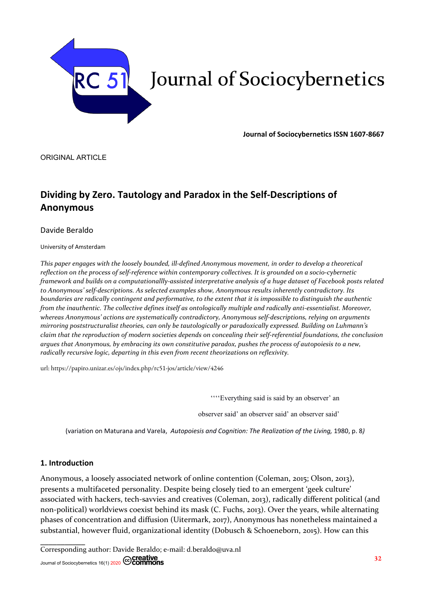

**Journal of Sociocybernetics ISSN 1607-8667**

ORIGINAL ARTICLE

# **Dividing by Zero. Tautology and Paradox in the Self-Descriptions of Anonymous**

Davide Beraldo

University of Amsterdam

*This paper engages with the loosely bounded, ill-defined Anonymous movement, in order to develop a theoretical reflection on the process of self-reference within contemporary collectives. It is grounded on a socio-cybernetic* framework and builds on a computationallly-assisted interpretative analysis of a huge dataset of Facebook posts related *to Anonymous' self-descriptions. As selected examples show, Anonymous results inherently contradictory. Its* boundaries are radically contingent and performative, to the extent that it is impossible to distinguish the authentic *from the inauthentic. The collective defines itself as ontologically multiple and radically anti-essentialist. Moreover, whereas Anonymous' actions are systematically contradictory, Anonymous self-descriptions, relying on arguments mirroring poststructuralist theories, can only be tautologically or paradoxically expressed. Building on Luhmann's* claim that the reproduction of modern societies depends on concealing their self-referential foundations, the conclusion argues that Anonymous, by embracing its own constitutive paradox, pushes the process of autopoiesis to a new, *radically recursive logic, departing in this even from recent theorizations on reflexivity.*

url: https://papiro.unizar.es/ojs/index.php/rc51-jos/article/view/4246

''''Everything said is said by an observer' an

observer said' an observer said' an observer said'

(variation on Maturana and Varela, *Autopoiesis and Cognition: The Realization of the Living,* 1980, p. 8*)*

### **1. Introduction**

⎯⎯⎯⎯⎯⎯⎯⎯⎯⎯⎯

Anonymous, a loosely associated network of online contention (Coleman, 2015; Olson, 2013), presents a multifaceted personality. Despite being closely tied to an emergent 'geek culture' associated with hackers, tech-savvies and creatives (Coleman, 2013), radically different political (and non-political) worldviews coexist behind its mask (C. Fuchs, 2013). Over the years, while alternating phases of concentration and diffusion (Uitermark, 2017), Anonymous has nonetheless maintained a substantial, however fluid, organizational identity (Dobusch & Schoeneborn, 2015). How can this

Corresponding author: Davide Beraldo; e-mail: d.beraldo@uva.nl

Journal of Sociocybernetics 16(1) 2020 COCTENTIONS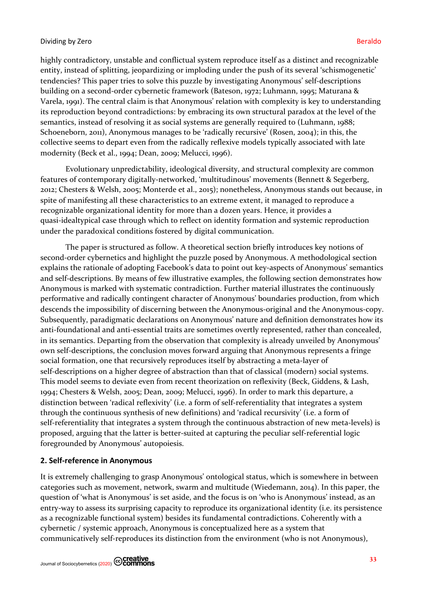highly contradictory, unstable and conflictual system reproduce itself as a distinct and recognizable entity, instead of splitting, jeopardizing or imploding under the push of its several 'schismogenetic' tendencies? This paper tries to solve this puzzle by investigating Anonymous' self-descriptions building on a second-order cybernetic framework (Bateson, 1972; Luhmann, 1995; Maturana & Varela, 1991). The central claim is that Anonymous' relation with complexity is key to understanding its reproduction beyond contradictions: by embracing its own structural paradox at the level of the semantics, instead of resolving it as social systems are generally required to (Luhmann, 1988; Schoeneborn, 2011), Anonymous manages to be 'radically recursive' (Rosen, 2004); in this, the collective seems to depart even from the radically reflexive models typically associated with late modernity (Beck et al., 1994; Dean, 2009; Melucci, 1996).

Evolutionary unpredictability, ideological diversity, and structural complexity are common features of contemporary digitally-networked, 'multitudinous' movements (Bennett & Segerberg, 2012; Chesters & Welsh, 2005; Monterde et al., 2015); nonetheless, Anonymous stands out because, in spite of manifesting all these characteristics to an extreme extent, it managed to reproduce a recognizable organizational identity for more than a dozen years. Hence, it provides a quasi-idealtypical case through which to reflect on identity formation and systemic reproduction under the paradoxical conditions fostered by digital communication.

The paper is structured as follow. A theoretical section briefly introduces key notions of second-order cybernetics and highlight the puzzle posed by Anonymous. A methodological section explains the rationale of adopting Facebook's data to point out key-aspects of Anonymous' semantics and self-descriptions. By means of few illustrative examples, the following section demonstrates how Anonymous is marked with systematic contradiction. Further material illustrates the continuously performative and radically contingent character of Anonymous' boundaries production, from which descends the impossibility of discerning between the Anonymous-original and the Anonymous-copy. Subsequently, paradigmatic declarations on Anonymous' nature and definition demonstrates how its anti-foundational and anti-essential traits are sometimes overtly represented, rather than concealed, in its semantics. Departing from the observation that complexity is already unveiled by Anonymous' own self-descriptions, the conclusion moves forward arguing that Anonymous represents a fringe social formation, one that recursively reproduces itself by abstracting a meta-layer of self-descriptions on a higher degree of abstraction than that of classical (modern) social systems. This model seems to deviate even from recent theorization on reflexivity (Beck, Giddens, & Lash, 1994; Chesters & Welsh, 2005; Dean, 2009; Melucci, 1996). In order to mark this departure, a distinction between 'radical reflexivity' (i.e. a form of self-referentiality that integrates a system through the continuous synthesis of new definitions) and 'radical recursivity' (i.e. a form of self-referentiality that integrates a system through the continuous abstraction of new meta-levels) is proposed, arguing that the latter is better-suited at capturing the peculiar self-referential logic foregrounded by Anonymous' autopoiesis.

### **2. Self-reference in Anonymous**

It is extremely challenging to grasp Anonymous' ontological status, which is somewhere in between categories such as movement, network, swarm and multitude (Wiedemann, 2014). In this paper, the question of 'what is Anonymous' is set aside, and the focus is on 'who is Anonymous' instead, as an entry-way to assess its surprising capacity to reproduce its organizational identity (i.e. its persistence as a recognizable functional system) besides its fundamental contradictions. Coherently with a cybernetic / systemic approach, Anonymous is conceptualized here as a system that communicatively self-reproduces its distinction from the environment (who is not Anonymous),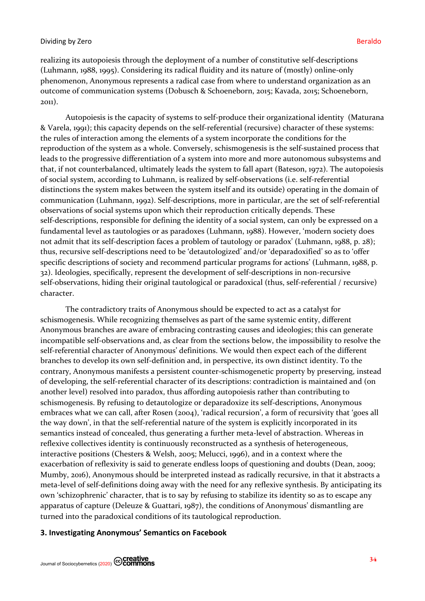realizing its autopoiesis through the deployment of a number of constitutive self-descriptions (Luhmann, 1988, 1995). Considering its radical fluidity and its nature of (mostly) online-only phenomenon, Anonymous represents a radical case from where to understand organization as an outcome of communication systems (Dobusch & Schoeneborn, 2015; Kavada, 2015; Schoeneborn, 2011).

Autopoiesis is the capacity of systems to self-produce their organizational identity (Maturana & Varela, 1991); this capacity depends on the self-referential (recursive) character of these systems: the rules of interaction among the elements of a system incorporate the conditions for the reproduction of the system as a whole. Conversely, schismogenesis is the self-sustained process that leads to the progressive differentiation of a system into more and more autonomous subsystems and that, if not counterbalanced, ultimately leads the system to fall apart (Bateson, 1972). The autopoiesis of social system, according to Luhmann, is realized by self-observations (i.e. self-referential distinctions the system makes between the system itself and its outside) operating in the domain of communication (Luhmann, 1992). Self-descriptions, more in particular, are the set of self-referential observations of social systems upon which their reproduction critically depends. These self-descriptions, responsible for defining the identity of a social system, can only be expressed on a fundamental level as tautologies or as paradoxes (Luhmann, 1988). However, 'modern society does not admit that its self-description faces a problem of tautology or paradox' (Luhmann, 1988, p. 28); thus, recursive self-descriptions need to be 'detautologized' and/or 'deparadoxified' so as to 'offer specific descriptions of society and recommend particular programs for actions' (Luhmann, 1988, p. 32). Ideologies, specifically, represent the development of self-descriptions in non-recursive self-observations, hiding their original tautological or paradoxical (thus, self-referential / recursive) character.

The contradictory traits of Anonymous should be expected to act as a catalyst for schismogenesis. While recognizing themselves as part of the same systemic entity, different Anonymous branches are aware of embracing contrasting causes and ideologies; this can generate incompatible self-observations and, as clear from the sections below, the impossibility to resolve the self-referential character of Anonymous' definitions. We would then expect each of the different branches to develop its own self-definition and, in perspective, its own distinct identity. To the contrary, Anonymous manifests a persistent counter-schismogenetic property by preserving, instead of developing, the self-referential character of its descriptions: contradiction is maintained and (on another level) resolved into paradox, thus affording autopoiesis rather than contributing to schismogenesis. By refusing to detautologize or deparadoxize its self-descriptions, Anonymous embraces what we can call, after Rosen (2004), 'radical recursion', a form of recursivity that 'goes all the way down', in that the self-referential nature of the system is explicitly incorporated in its semantics instead of concealed, thus generating a further meta-level of abstraction. Whereas in reflexive collectives identity is continuously reconstructed as a synthesis of heterogeneous, interactive positions (Chesters & Welsh, 2005; Melucci, 1996), and in a context where the exacerbation of reflexivity is said to generate endless loops of questioning and doubts (Dean, 2009; Mumby, 2016), Anonymous should be interpreted instead as radically recursive, in that it abstracts a meta-level of self-definitions doing away with the need for any reflexive synthesis. By anticipating its own 'schizophrenic' character, that is to say by refusing to stabilize its identity so as to escape any apparatus of capture (Deleuze & Guattari, 1987), the conditions of Anonymous' dismantling are turned into the paradoxical conditions of its tautological reproduction.

### **3. Investigating Anonymous' Semantics on Facebook**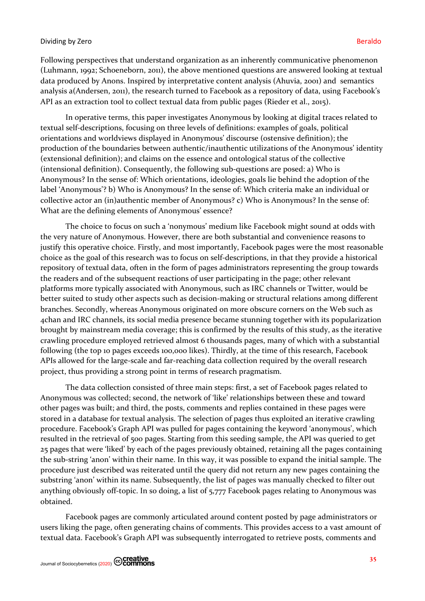Following perspectives that understand organization as an inherently communicative phenomenon (Luhmann, 1992; Schoeneborn, 2011), the above mentioned questions are answered looking at textual data produced by Anons. Inspired by interpretative content analysis (Ahuvia, 2001) and semantics analysis a(Andersen, 2011), the research turned to Facebook as a repository of data, using Facebook's API as an extraction tool to collect textual data from public pages (Rieder et al., 2015).

In operative terms, this paper investigates Anonymous by looking at digital traces related to textual self-descriptions, focusing on three levels of definitions: examples of goals, political orientations and worldviews displayed in Anonymous' discourse (ostensive definition); the production of the boundaries between authentic/inauthentic utilizations of the Anonymous' identity (extensional definition); and claims on the essence and ontological status of the collective (intensional definition). Consequently, the following sub-questions are posed: a) Who is Anonymous? In the sense of: Which orientations, ideologies, goals lie behind the adoption of the label 'Anonymous'? b) Who is Anonymous? In the sense of: Which criteria make an individual or collective actor an (in)authentic member of Anonymous? c) Who is Anonymous? In the sense of: What are the defining elements of Anonymous' essence?

The choice to focus on such a 'nonymous' medium like Facebook might sound at odds with the very nature of Anonymous. However, there are both substantial and convenience reasons to justify this operative choice. Firstly, and most importantly, Facebook pages were the most reasonable choice as the goal of this research was to focus on self-descriptions, in that they provide a historical repository of textual data, often in the form of pages administrators representing the group towards the readers and of the subsequent reactions of user participating in the page; other relevant platforms more typically associated with Anonymous, such as IRC channels or Twitter, would be better suited to study other aspects such as decision-making or structural relations among different branches. Secondly, whereas Anonymous originated on more obscure corners on the Web such as 4chan and IRC channels, its social media presence became stunning together with its popularization brought by mainstream media coverage; this is confirmed by the results of this study, as the iterative crawling procedure employed retrieved almost 6 thousands pages, many of which with a substantial following (the top 10 pages exceeds 100,000 likes). Thirdly, at the time of this research, Facebook APIs allowed for the large-scale and far-reaching data collection required by the overall research project, thus providing a strong point in terms of research pragmatism.

The data collection consisted of three main steps: first, a set of Facebook pages related to Anonymous was collected; second, the network of 'like' relationships between these and toward other pages was built; and third, the posts, comments and replies contained in these pages were stored in a database for textual analysis. The selection of pages thus exploited an iterative crawling procedure. Facebook's Graph API was pulled for pages containing the keyword 'anonymous', which resulted in the retrieval of 500 pages. Starting from this seeding sample, the API was queried to get 25 pages that were 'liked' by each of the pages previously obtained, retaining all the pages containing the sub-string 'anon' within their name. In this way, it was possible to expand the initial sample. The procedure just described was reiterated until the query did not return any new pages containing the substring 'anon' within its name. Subsequently, the list of pages was manually checked to filter out anything obviously off-topic. In so doing, a list of 5,777 Facebook pages relating to Anonymous was obtained.

Facebook pages are commonly articulated around content posted by page administrators or users liking the page, often generating chains of comments. This provides access to a vast amount of textual data. Facebook's Graph API was subsequently interrogated to retrieve posts, comments and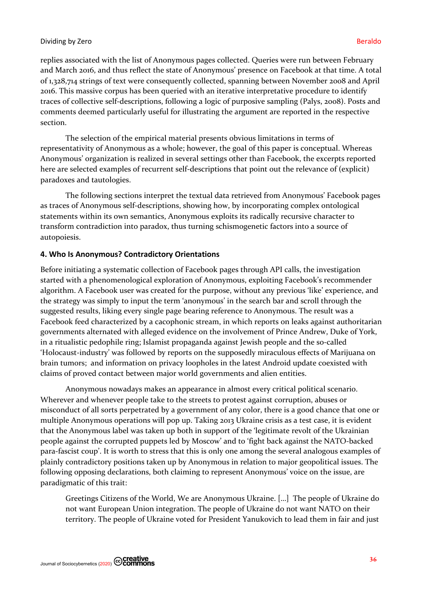replies associated with the list of Anonymous pages collected. Queries were run between February and March 2016, and thus reflect the state of Anonymous' presence on Facebook at that time. A total of 1,328,714 strings of text were consequently collected, spanning between November 2008 and April 2016. This massive corpus has been queried with an iterative interpretative procedure to identify traces of collective self-descriptions, following a logic of purposive sampling (Palys, 2008). Posts and comments deemed particularly useful for illustrating the argument are reported in the respective section.

The selection of the empirical material presents obvious limitations in terms of representativity of Anonymous as a whole; however, the goal of this paper is conceptual. Whereas Anonymous' organization is realized in several settings other than Facebook, the excerpts reported here are selected examples of recurrent self-descriptions that point out the relevance of (explicit) paradoxes and tautologies.

The following sections interpret the textual data retrieved from Anonymous' Facebook pages as traces of Anonymous self-descriptions, showing how, by incorporating complex ontological statements within its own semantics, Anonymous exploits its radically recursive character to transform contradiction into paradox, thus turning schismogenetic factors into a source of autopoiesis.

### **4. Who Is Anonymous? Contradictory Orientations**

Before initiating a systematic collection of Facebook pages through API calls, the investigation started with a phenomenological exploration of Anonymous, exploiting Facebook's recommender algorithm. A Facebook user was created for the purpose, without any previous 'like' experience, and the strategy was simply to input the term 'anonymous' in the search bar and scroll through the suggested results, liking every single page bearing reference to Anonymous. The result was a Facebook feed characterized by a cacophonic stream, in which reports on leaks against authoritarian governments alternated with alleged evidence on the involvement of Prince Andrew, Duke of York, in a ritualistic pedophile ring; Islamist propaganda against Jewish people and the so-called 'Holocaust-industry' was followed by reports on the supposedly miraculous effects of Marijuana on brain tumors; and information on privacy loopholes in the latest Android update coexisted with claims of proved contact between major world governments and alien entities.

Anonymous nowadays makes an appearance in almost every critical political scenario. Wherever and whenever people take to the streets to protest against corruption, abuses or misconduct of all sorts perpetrated by a government of any color, there is a good chance that one or multiple Anonymous operations will pop up. Taking 2013 Ukraine crisis as a test case, it is evident that the Anonymous label was taken up both in support of the 'legitimate revolt of the Ukrainian people against the corrupted puppets led by Moscow' and to 'fight back against the NATO-backed para-fascist coup'. It is worth to stress that this is only one among the several analogous examples of plainly contradictory positions taken up by Anonymous in relation to major geopolitical issues. The following opposing declarations, both claiming to represent Anonymous' voice on the issue, are paradigmatic of this trait:

Greetings Citizens of the World, We are Anonymous Ukraine. […] The people of Ukraine do not want European Union integration. The people of Ukraine do not want NATO on their territory. The people of Ukraine voted for President Yanukovich to lead them in fair and just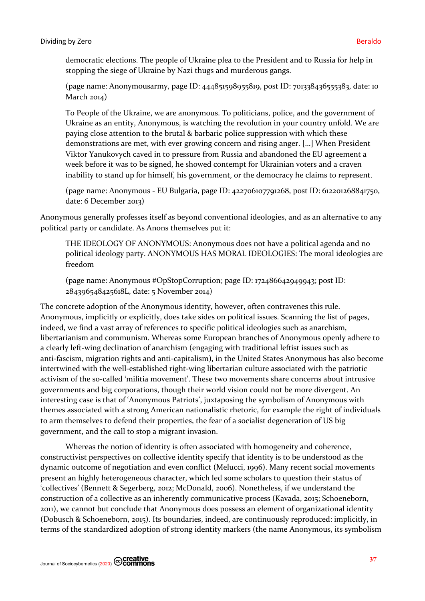democratic elections. The people of Ukraine plea to the President and to Russia for help in stopping the siege of Ukraine by Nazi thugs and murderous gangs.

(page name: Anonymousarmy, page ID: 444851598955819, post ID: 701338436555383, date: 10 March 2014)

To People of the Ukraine, we are anonymous. To politicians, police, and the government of Ukraine as an entity, Anonymous, is watching the revolution in your country unfold. We are paying close attention to the brutal & barbaric police suppression with which these demonstrations are met, with ever growing concern and rising anger. […] When President Viktor Yanukovych caved in to pressure from Russia and abandoned the EU agreement a week before it was to be signed, he showed contempt for Ukrainian voters and a craven inability to stand up for himself, his government, or the democracy he claims to represent.

(page name: Anonymous - EU Bulgaria, page ID: 422706107791268, post ID: 612201268841750, date: 6 December 2013)

Anonymous generally professes itself as beyond conventional ideologies, and as an alternative to any political party or candidate. As Anons themselves put it:

THE IDEOLOGY OF ANONYMOUS: Anonymous does not have a political agenda and no political ideology party. ANONYMOUS HAS MORAL IDEOLOGIES: The moral ideologies are freedom

(page name: Anonymous #OpStopCorruption; page ID: 172486642949943; post ID: 284396548425618L, date: 5 November 2014)

The concrete adoption of the Anonymous identity, however, often contravenes this rule. Anonymous, implicitly or explicitly, does take sides on political issues. Scanning the list of pages, indeed, we find a vast array of references to specific political ideologies such as anarchism, libertarianism and communism. Whereas some European branches of Anonymous openly adhere to a clearly left-wing declination of anarchism (engaging with traditional leftist issues such as anti-fascism, migration rights and anti-capitalism), in the United States Anonymous has also become intertwined with the well-established right-wing libertarian culture associated with the patriotic activism of the so-called 'militia movement'. These two movements share concerns about intrusive governments and big corporations, though their world vision could not be more divergent. An interesting case is that of 'Anonymous Patriots', juxtaposing the symbolism of Anonymous with themes associated with a strong American nationalistic rhetoric, for example the right of individuals to arm themselves to defend their properties, the fear of a socialist degeneration of US big government, and the call to stop a migrant invasion.

Whereas the notion of identity is often associated with homogeneity and coherence, constructivist perspectives on collective identity specify that identity is to be understood as the dynamic outcome of negotiation and even conflict (Melucci, 1996). Many recent social movements present an highly heterogeneous character, which led some scholars to question their status of 'collectives' (Bennett & Segerberg, 2012; McDonald, 2006). Nonetheless, if we understand the construction of a collective as an inherently communicative process (Kavada, 2015; Schoeneborn, 2011), we cannot but conclude that Anonymous does possess an element of organizational identity (Dobusch & Schoeneborn, 2015). Its boundaries, indeed, are continuously reproduced: implicitly, in terms of the standardized adoption of strong identity markers (the name Anonymous, its symbolism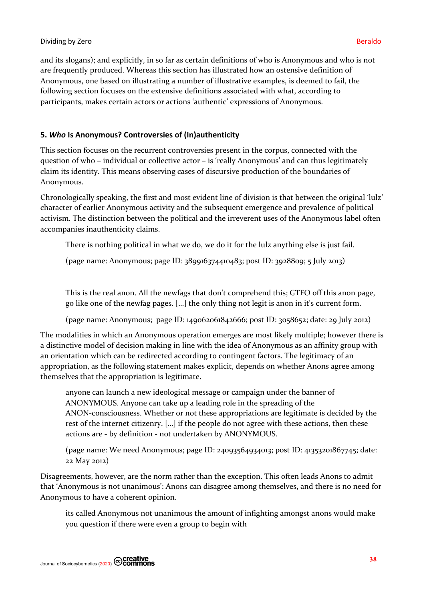and its slogans); and explicitly, in so far as certain definitions of who is Anonymous and who is not are frequently produced. Whereas this section has illustrated how an ostensive definition of Anonymous, one based on illustrating a number of illustrative examples, is deemed to fail, the following section focuses on the extensive definitions associated with what, according to participants, makes certain actors or actions 'authentic' expressions of Anonymous.

# **5.** *Who* **Is Anonymous? Controversies of (In)authenticity**

This section focuses on the recurrent controversies present in the corpus, connected with the question of who – individual or collective actor – is 'really Anonymous' and can thus legitimately claim its identity. This means observing cases of discursive production of the boundaries of Anonymous.

Chronologically speaking, the first and most evident line of division is that between the original 'lulz' character of earlier Anonymous activity and the subsequent emergence and prevalence of political activism. The distinction between the political and the irreverent uses of the Anonymous label often accompanies inauthenticity claims.

There is nothing political in what we do, we do it for the lulz anything else is just fail.

(page name: Anonymous; page ID: 389916374410483; post ID: 3928809; 5 July 2013)

This is the real anon. All the newfags that don't comprehend this; GTFO off this anon page, go like one of the newfag pages. […] the only thing not legit is anon in it's current form.

(page name: Anonymous; page ID: 149062061842666; post ID: 3058652; date: 29 July 2012)

The modalities in which an Anonymous operation emerges are most likely multiple; however there is a distinctive model of decision making in line with the idea of Anonymous as an affinity group with an orientation which can be redirected according to contingent factors. The legitimacy of an appropriation, as the following statement makes explicit, depends on whether Anons agree among themselves that the appropriation is legitimate.

anyone can launch a new ideological message or campaign under the banner of ANONYMOUS. Anyone can take up a leading role in the spreading of the ANON-consciousness. Whether or not these appropriations are legitimate is decided by the rest of the internet citizenry. […] if the people do not agree with these actions, then these actions are - by definition - not undertaken by ANONYMOUS.

(page name: We need Anonymous; page ID: 24093564934013; post ID: 41353201867745; date: 22 May 2012)

Disagreements, however, are the norm rather than the exception. This often leads Anons to admit that 'Anonymous is not unanimous': Anons can disagree among themselves, and there is no need for Anonymous to have a coherent opinion.

its called Anonymous not unanimous the amount of infighting amongst anons would make you question if there were even a group to begin with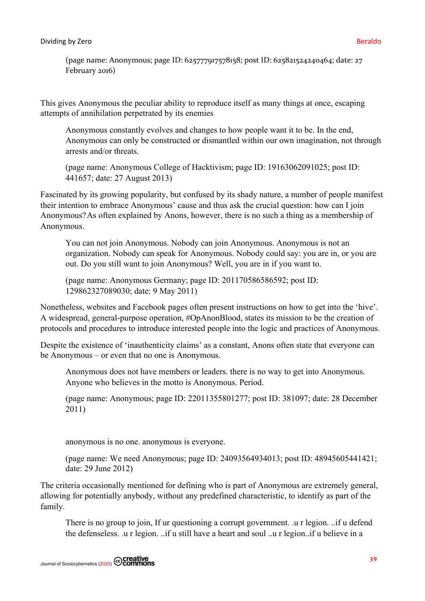(page name: Anonymous; page ID: 625777917578158; post ID: 625821524240464; date: 27 February 2016)

This gives Anonymous the peculiar ability to reproduce itself as many things at once, escaping attempts of annihilation perpetrated by its enemies

Anonymous constantly evolves and changes to how people want it to be. In the end, Anonymous can only be constructed or dismantled within our own imagination, not through arrests and/or threats.

(page name: Anonymous College of Hacktivism; page ID: 19163062091025; post ID: 441657; date: 27 August 2013)

Fascinated by its growing popularity, but confused by its shady nature, a number of people manifest their intention to embrace Anonymous' cause and thus ask the crucial question: how can I join Anonymous?As often explained by Anons, however, there is no such a thing as a membership of Anonymous.

You can not join Anonymous. Nobody can join Anonymous. Anonymous is not an organization. Nobody can speak for Anonymous. Nobody could say: you are in, or you are out. Do you still want to join Anonymous? Well, you are in if you want to.

(page name: Anonymous Germany; page ID: 201170586586592; post ID: 129862327089030; date: 9 May 2011)

Nonetheless, websites and Facebook pages often present instructions on how to get into the 'hive'. A widespread, general-purpose operation, #OpAnonBlood, states its mission to be the creation of protocols and procedures to introduce interested people into the logic and practices of Anonymous.

Despite the existence of 'inauthenticity claims' as a constant, Anons often state that everyone can be Anonymous – or even that no one is Anonymous.

Anonymous does not have members or leaders. there is no way to get into Anonymous. Anyone who believes in the motto is Anonymous. Period.

(page name: Anonymous; page ID: 22011355801277; post ID: 381097; date: 28 December 2011)

anonymous is no one. anonymous is everyone.

(page name: We need Anonymous; page ID: 24093564934013; post ID: 48945605441421; date: 29 June 2012)

The criteria occasionally mentioned for defining who is part of Anonymous are extremely general, allowing for potentially anybody, without any predefined characteristic, to identify as part of the family.

There is no group to join, If ur questioning a corrupt government. .u r legion. ..if u defend the defenseless. .u r legion. ..if u still have a heart and soul ..u r legion..if u believe in a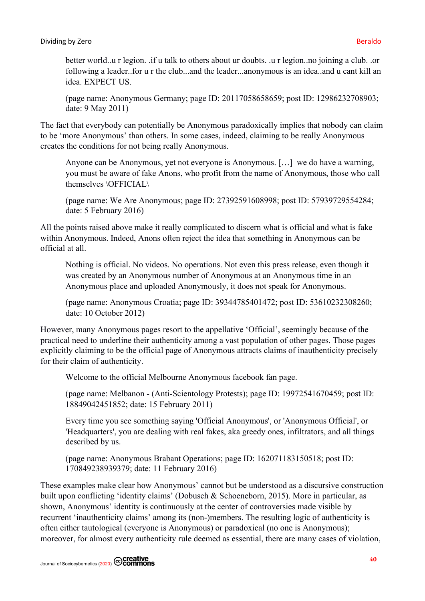better world..u r legion. .if u talk to others about ur doubts. .u r legion..no joining a club. .or following a leader..for u r the club...and the leader...anonymous is an idea..and u cant kill an idea. EXPECT US.

(page name: Anonymous Germany; page ID: 20117058658659; post ID: 12986232708903; date: 9 May 2011)

The fact that everybody can potentially be Anonymous paradoxically implies that nobody can claim to be 'more Anonymous' than others. In some cases, indeed, claiming to be really Anonymous creates the conditions for not being really Anonymous.

Anyone can be Anonymous, yet not everyone is Anonymous. […] we do have a warning, you must be aware of fake Anons, who profit from the name of Anonymous, those who call themselves \OFFICIAL\

(page name: We Are Anonymous; page ID: 27392591608998; post ID: 57939729554284; date: 5 February 2016)

All the points raised above make it really complicated to discern what is official and what is fake within Anonymous. Indeed, Anons often reject the idea that something in Anonymous can be official at all.

Nothing is official. No videos. No operations. Not even this press release, even though it was created by an Anonymous number of Anonymous at an Anonymous time in an Anonymous place and uploaded Anonymously, it does not speak for Anonymous.

(page name: Anonymous Croatia; page ID: 39344785401472; post ID: 53610232308260; date: 10 October 2012)

However, many Anonymous pages resort to the appellative 'Official', seemingly because of the practical need to underline their authenticity among a vast population of other pages. Those pages explicitly claiming to be the official page of Anonymous attracts claims of inauthenticity precisely for their claim of authenticity.

Welcome to the official Melbourne Anonymous facebook fan page.

(page name: Melbanon - (Anti-Scientology Protests); page ID: 19972541670459; post ID: 18849042451852; date: 15 February 2011)

Every time you see something saying 'Official Anonymous', or 'Anonymous Official', or 'Headquarters', you are dealing with real fakes, aka greedy ones, infiltrators, and all things described by us.

(page name: Anonymous Brabant Operations; page ID: 162071183150518; post ID: 170849238939379; date: 11 February 2016)

These examples make clear how Anonymous' cannot but be understood as a discursive construction built upon conflicting 'identity claims' (Dobusch & Schoeneborn, 2015). More in particular, as shown, Anonymous' identity is continuously at the center of controversies made visible by recurrent 'inauthenticity claims' among its (non-)members. The resulting logic of authenticity is often either tautological (everyone is Anonymous) or paradoxical (no one is Anonymous); moreover, for almost every authenticity rule deemed as essential, there are many cases of violation,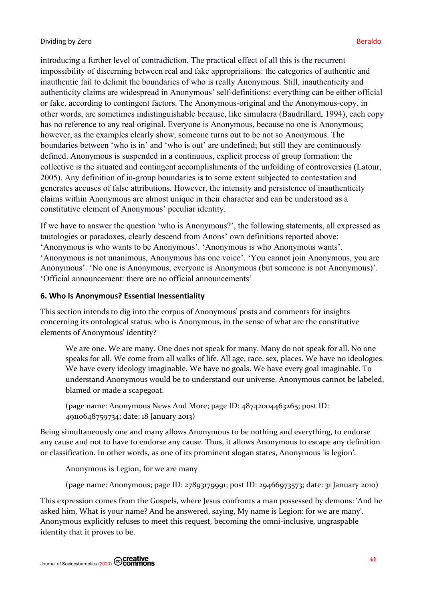introducing a further level of contradiction. The practical effect of all this is the recurrent impossibility of discerning between real and fake appropriations: the categories of authentic and inauthentic fail to delimit the boundaries of who is really Anonymous. Still, inauthenticity and authenticity claims are widespread in Anonymous' self-definitions: everything can be either official or fake, according to contingent factors. The Anonymous-original and the Anonymous-copy, in other words, are sometimes indistinguishable because, like simulacra (Baudrillard, 1994), each copy has no reference to any real original. Everyone is Anonymous, because no one is Anonymous; however, as the examples clearly show, someone turns out to be not so Anonymous. The boundaries between 'who is in' and 'who is out' are undefined; but still they are continuously defined. Anonymous is suspended in a continuous, explicit process of group formation: the collective is the situated and contingent accomplishments of the unfolding of controversies (Latour, 2005). Any definition of in-group boundaries is to some extent subjected to contestation and generates accuses of false attributions. However, the intensity and persistence of inauthenticity claims within Anonymous are almost unique in their character and can be understood as a constitutive element of Anonymous' peculiar identity.

If we have to answer the question 'who is Anonymous?', the following statements, all expressed as tautologies or paradoxes, clearly descend from Anons' own definitions reported above: 'Anonymous is who wants to be Anonymous'. 'Anonymous is who Anonymous wants'. 'Anonymous is not unanimous, Anonymous has one voice'. 'You cannot join Anonymous, you are Anonymous'. 'No one is Anonymous, everyone is Anonymous (but someone is not Anonymous)'. 'Official announcement: there are no official announcements'

## **6. Who Is Anonymous? Essential Inessentiality**

This section intends to dig into the corpus of Anonymous' posts and comments for insights concerning its ontological status: who is Anonymous, in the sense of what are the constitutive elements of Anonymous' identity?

We are one. We are many. One does not speak for many. Many do not speak for all. No one speaks for all. We come from all walks of life. All age, race, sex, places. We have no ideologies. We have every ideology imaginable. We have no goals. We have every goal imaginable. To understand Anonymous would be to understand our universe. Anonymous cannot be labeled, blamed or made a scapegoat.

(page name: Anonymous News And More; page ID: 48742004463265; post ID: 49110648759734; date: 18 January 2013)

Being simultaneously one and many allows Anonymous to be nothing and everything, to endorse any cause and not to have to endorse any cause. Thus, it allows Anonymous to escape any definition or classification. In other words, as one of its prominent slogan states, Anonymous 'is legion'.

Anonymous is Legion, for we are many

(page name: Anonymous; page ID: 27893179991; post ID: 29466973573; date: 31 January 2010)

This expression comes from the Gospels, where Jesus confronts a man possessed by demons: 'And he asked him, What is your name? And he answered, saying, My name is Legion: for we are many'. Anonymous explicitly refuses to meet this request, becoming the omni-inclusive, ungraspable identity that it proves to be.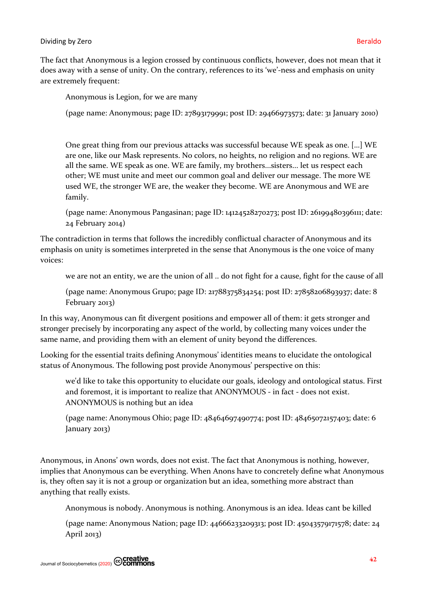#### Dividing by Zero **Beraldo**

The fact that Anonymous is a legion crossed by continuous conflicts, however, does not mean that it does away with a sense of unity. On the contrary, references to its 'we'-ness and emphasis on unity are extremely frequent:

Anonymous is Legion, for we are many

(page name: Anonymous; page ID: 27893179991; post ID: 29466973573; date: 31 January 2010)

One great thing from our previous attacks was successful because WE speak as one. […] WE are one, like our Mask represents. No colors, no heights, no religion and no regions. WE are all the same. WE speak as one. WE are family, my brothers...sisters... let us respect each other; WE must unite and meet our common goal and deliver our message. The more WE used WE, the stronger WE are, the weaker they become. WE are Anonymous and WE are family.

(page name: Anonymous Pangasinan; page ID: 14124528270273; post ID: 26199480396111; date: 24 February 2014)

The contradiction in terms that follows the incredibly conflictual character of Anonymous and its emphasis on unity is sometimes interpreted in the sense that Anonymous is the one voice of many voices:

we are not an entity, we are the union of all .. do not fight for a cause, fight for the cause of all

(page name: Anonymous Grupo; page ID: 21788375834254; post ID: 27858206893937; date: 8 February 2013)

In this way, Anonymous can fit divergent positions and empower all of them: it gets stronger and stronger precisely by incorporating any aspect of the world, by collecting many voices under the same name, and providing them with an element of unity beyond the differences.

Looking for the essential traits defining Anonymous' identities means to elucidate the ontological status of Anonymous. The following post provide Anonymous' perspective on this:

we'd like to take this opportunity to elucidate our goals, ideology and ontological status. First and foremost, it is important to realize that ANONYMOUS - in fact - does not exist. ANONYMOUS is nothing but an idea

(page name: Anonymous Ohio; page ID: 48464697490774; post ID: 48465072157403; date: 6 January 2013)

Anonymous, in Anons' own words, does not exist. The fact that Anonymous is nothing, however, implies that Anonymous can be everything. When Anons have to concretely define what Anonymous is, they often say it is not a group or organization but an idea, something more abstract than anything that really exists.

Anonymous is nobody. Anonymous is nothing. Anonymous is an idea. Ideas cant be killed

(page name: Anonymous Nation; page ID: 44666233209313; post ID: 45043579171578; date: 24 April 2013)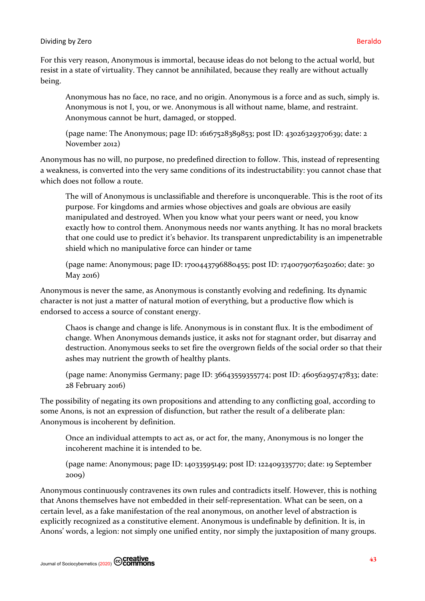For this very reason, Anonymous is immortal, because ideas do not belong to the actual world, but resist in a state of virtuality. They cannot be annihilated, because they really are without actually being.

Anonymous has no face, no race, and no origin. Anonymous is a force and as such, simply is. Anonymous is not I, you, or we. Anonymous is all without name, blame, and restraint. Anonymous cannot be hurt, damaged, or stopped.

(page name: The Anonymous; page ID: 16167528389853; post ID: 43026329370639; date: 2 November 2012)

Anonymous has no will, no purpose, no predefined direction to follow. This, instead of representing a weakness, is converted into the very same conditions of its indestructability: you cannot chase that which does not follow a route.

The will of Anonymous is unclassifiable and therefore is unconquerable. This is the root of its purpose. For kingdoms and armies whose objectives and goals are obvious are easily manipulated and destroyed. When you know what your peers want or need, you know exactly how to control them. Anonymous needs nor wants anything. It has no moral brackets that one could use to predict it's behavior. Its transparent unpredictability is an impenetrable shield which no manipulative force can hinder or tame

(page name: Anonymous; page ID: 1700443796880455; post ID: 1740079076250260; date: 30 May 2016)

Anonymous is never the same, as Anonymous is constantly evolving and redefining. Its dynamic character is not just a matter of natural motion of everything, but a productive flow which is endorsed to access a source of constant energy.

Chaos is change and change is life. Anonymous is in constant flux. It is the embodiment of change. When Anonymous demands justice, it asks not for stagnant order, but disarray and destruction. Anonymous seeks to set fire the overgrown fields of the social order so that their ashes may nutrient the growth of healthy plants.

(page name: Anonymiss Germany; page ID: 36643559355774; post ID: 46056295747833; date: 28 February 2016)

The possibility of negating its own propositions and attending to any conflicting goal, according to some Anons, is not an expression of disfunction, but rather the result of a deliberate plan: Anonymous is incoherent by definition.

Once an individual attempts to act as, or act for, the many, Anonymous is no longer the incoherent machine it is intended to be.

(page name: Anonymous; page ID: 14033595149; post ID: 122409335770; date: 19 September 2009)

Anonymous continuously contravenes its own rules and contradicts itself. However, this is nothing that Anons themselves have not embedded in their self-representation. What can be seen, on a certain level, as a fake manifestation of the real anonymous, on another level of abstraction is explicitly recognized as a constitutive element. Anonymous is undefinable by definition. It is, in Anons' words, a legion: not simply one unified entity, nor simply the juxtaposition of many groups.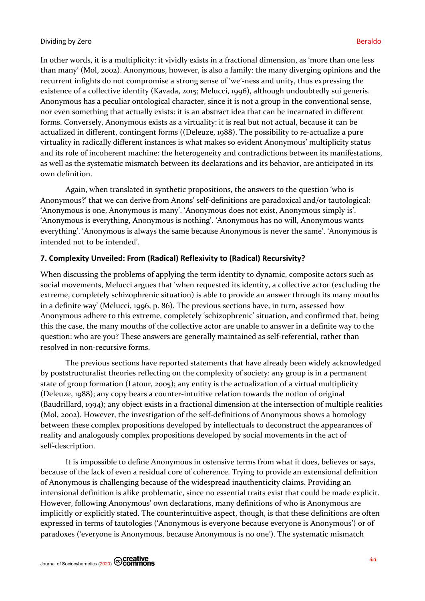In other words, it is a multiplicity: it vividly exists in a fractional dimension, as 'more than one less than many' (Mol, 2002). Anonymous, however, is also a family: the many diverging opinions and the recurrent infights do not compromise a strong sense of 'we'-ness and unity, thus expressing the existence of a collective identity (Kavada, 2015; Melucci, 1996), although undoubtedly sui generis. Anonymous has a peculiar ontological character, since it is not a group in the conventional sense, nor even something that actually exists: it is an abstract idea that can be incarnated in different forms. Conversely, Anonymous exists as a virtuality: it is real but not actual, because it can be actualized in different, contingent forms ((Deleuze, 1988). The possibility to re-actualize a pure virtuality in radically different instances is what makes so evident Anonymous' multiplicity status and its role of incoherent machine: the heterogeneity and contradictions between its manifestations, as well as the systematic mismatch between its declarations and its behavior, are anticipated in its own definition.

Again, when translated in synthetic propositions, the answers to the question 'who is Anonymous?' that we can derive from Anons' self-definitions are paradoxical and/or tautological: 'Anonymous is one, Anonymous is many'. 'Anonymous does not exist, Anonymous simply is'. 'Anonymous is everything, Anonymous is nothing'. 'Anonymous has no will, Anonymous wants everything'. 'Anonymous is always the same because Anonymous is never the same'. 'Anonymous is intended not to be intended'.

## **7. Complexity Unveiled: From (Radical) Reflexivity to (Radical) Recursivity?**

When discussing the problems of applying the term identity to dynamic, composite actors such as social movements, Melucci argues that 'when requested its identity, a collective actor (excluding the extreme, completely schizophrenic situation) is able to provide an answer through its many mouths in a definite way' (Melucci, 1996, p. 86). The previous sections have, in turn, assessed how Anonymous adhere to this extreme, completely 'schizophrenic' situation, and confirmed that, being this the case, the many mouths of the collective actor are unable to answer in a definite way to the question: who are you? These answers are generally maintained as self-referential, rather than resolved in non-recursive forms.

The previous sections have reported statements that have already been widely acknowledged by poststructuralist theories reflecting on the complexity of society: any group is in a permanent state of group formation (Latour, 2005); any entity is the actualization of a virtual multiplicity (Deleuze, 1988); any copy bears a counter-intuitive relation towards the notion of original (Baudrillard, 1994); any object exists in a fractional dimension at the intersection of multiple realities (Mol, 2002). However, the investigation of the self-definitions of Anonymous shows a homology between these complex propositions developed by intellectuals to deconstruct the appearances of reality and analogously complex propositions developed by social movements in the act of self-description.

It is impossible to define Anonymous in ostensive terms from what it does, believes or says, because of the lack of even a residual core of coherence. Trying to provide an extensional definition of Anonymous is challenging because of the widespread inauthenticity claims. Providing an intensional definition is alike problematic, since no essential traits exist that could be made explicit. However, following Anonymous' own declarations, many definitions of who is Anonymous are implicitly or explicitly stated. The counterintuitive aspect, though, is that these definitions are often expressed in terms of tautologies ('Anonymous is everyone because everyone is Anonymous') or of paradoxes ('everyone is Anonymous, because Anonymous is no one'). The systematic mismatch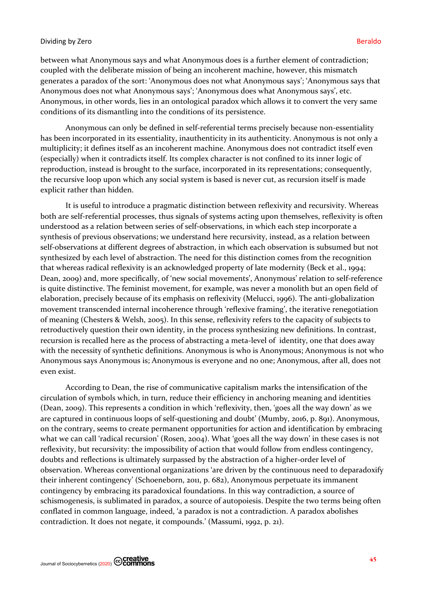between what Anonymous says and what Anonymous does is a further element of contradiction; coupled with the deliberate mission of being an incoherent machine, however, this mismatch generates a paradox of the sort: 'Anonymous does not what Anonymous says'; 'Anonymous says that Anonymous does not what Anonymous says'; 'Anonymous does what Anonymous says', etc. Anonymous, in other words, lies in an ontological paradox which allows it to convert the very same conditions of its dismantling into the conditions of its persistence.

Anonymous can only be defined in self-referential terms precisely because non-essentiality has been incorporated in its essentiality, inauthenticity in its authenticity. Anonymous is not only a multiplicity; it defines itself as an incoherent machine. Anonymous does not contradict itself even (especially) when it contradicts itself. Its complex character is not confined to its inner logic of reproduction, instead is brought to the surface, incorporated in its representations; consequently, the recursive loop upon which any social system is based is never cut, as recursion itself is made explicit rather than hidden.

It is useful to introduce a pragmatic distinction between reflexivity and recursivity. Whereas both are self-referential processes, thus signals of systems acting upon themselves, reflexivity is often understood as a relation between series of self-observations, in which each step incorporate a synthesis of previous observations; we understand here recursivity, instead, as a relation between self-observations at different degrees of abstraction, in which each observation is subsumed but not synthesized by each level of abstraction. The need for this distinction comes from the recognition that whereas radical reflexivity is an acknowledged property of late modernity (Beck et al., 1994; Dean, 2009) and, more specifically, of 'new social movements', Anonymous' relation to self-reference is quite distinctive. The feminist movement, for example, was never a monolith but an open field of elaboration, precisely because of its emphasis on reflexivity (Melucci, 1996). The anti-globalization movement transcended internal incoherence through 'reflexive framing', the iterative renegotiation of meaning (Chesters & Welsh, 2005). In this sense, reflexivity refers to the capacity of subjects to retroductively question their own identity, in the process synthesizing new definitions. In contrast, recursion is recalled here as the process of abstracting a meta-level of identity, one that does away with the necessity of synthetic definitions. Anonymous is who is Anonymous; Anonymous is not who Anonymous says Anonymous is; Anonymous is everyone and no one; Anonymous, after all, does not even exist.

According to Dean, the rise of communicative capitalism marks the intensification of the circulation of symbols which, in turn, reduce their efficiency in anchoring meaning and identities (Dean, 2009). This represents a condition in which 'reflexivity, then, 'goes all the way down' as we are captured in continuous loops of self-questioning and doubt' (Mumby, 2016, p. 891). Anonymous, on the contrary, seems to create permanent opportunities for action and identification by embracing what we can call 'radical recursion' (Rosen, 2004). What 'goes all the way down' in these cases is not reflexivity, but recursivity: the impossibility of action that would follow from endless contingency, doubts and reflections is ultimately surpassed by the abstraction of a higher-order level of observation. Whereas conventional organizations 'are driven by the continuous need to deparadoxify their inherent contingency' (Schoeneborn, 2011, p. 682), Anonymous perpetuate its immanent contingency by embracing its paradoxical foundations. In this way contradiction, a source of schismogenesis, is sublimated in paradox, a source of autopoiesis. Despite the two terms being often conflated in common language, indeed, 'a paradox is not a contradiction. A paradox abolishes contradiction. It does not negate, it compounds.' (Massumi, 1992, p. 21).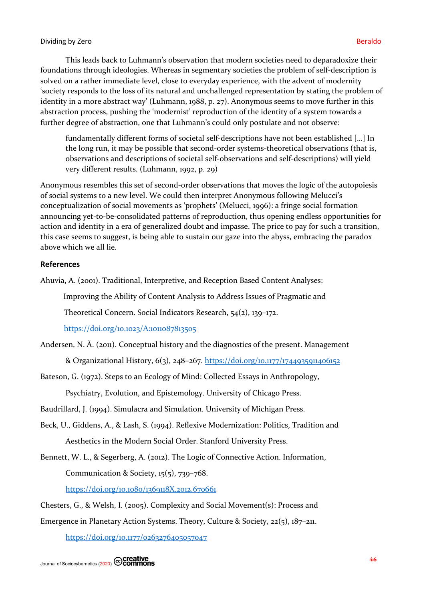This leads back to Luhmann's observation that modern societies need to deparadoxize their foundations through ideologies. Whereas in segmentary societies the problem of self-description is solved on a rather immediate level, close to everyday experience, with the advent of modernity 'society responds to the loss of its natural and unchallenged representation by stating the problem of identity in a more abstract way' (Luhmann, 1988, p. 27). Anonymous seems to move further in this abstraction process, pushing the 'modernist' reproduction of the identity of a system towards a further degree of abstraction, one that Luhmann's could only postulate and not observe:

fundamentally different forms of societal self-descriptions have not been established […] In the long run, it may be possible that second-order systems-theoretical observations (that is, observations and descriptions of societal self-observations and self-descriptions) will yield very different results. (Luhmann, 1992, p. 29)

Anonymous resembles this set of second-order observations that moves the logic of the autopoiesis of social systems to a new level. We could then interpret Anonymous following Melucci's conceptualization of social movements as 'prophets' (Melucci, 1996): a fringe social formation announcing yet-to-be-consolidated patterns of reproduction, thus opening endless opportunities for action and identity in a era of generalized doubt and impasse. The price to pay for such a transition, this case seems to suggest, is being able to sustain our gaze into the abyss, embracing the paradox above which we all lie.

#### **References**

Ahuvia, A. (2001). Traditional, Interpretive, and Reception Based Content Analyses:

Improving the Ability of Content Analysis to Address Issues of Pragmatic and

Theoretical Concern. Social Indicators Research, 54(2), 139–172.

<https://doi.org/10.1023/A:1011087813505>

Andersen, N. Å. (2011). Conceptual history and the diagnostics of the present. Management

& Organizational History, 6(3), 248–267. <https://doi.org/10.1177/1744935911406152>

Bateson, G. (1972). Steps to an Ecology of Mind: Collected Essays in Anthropology,

Psychiatry, Evolution, and Epistemology. University of Chicago Press.

Baudrillard, J. (1994). Simulacra and Simulation. University of Michigan Press.

- Beck, U., Giddens, A., & Lash, S. (1994). Reflexive Modernization: Politics, Tradition and Aesthetics in the Modern Social Order. Stanford University Press.
- Bennett, W. L., & Segerberg, A. (2012). The Logic of Connective Action. Information, Communication & Society, 15(5), 739–768.

<https://doi.org/10.1080/1369118X.2012.670661>

Chesters, G., & Welsh, I. (2005). Complexity and Social Movement(s): Process and

Emergence in Planetary Action Systems. Theory, Culture & Society, 22(5), 187–211.

<https://doi.org/10.1177/0263276405057047>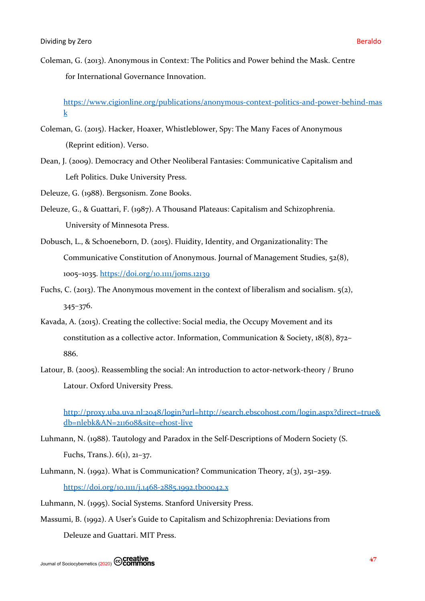Coleman, G. (2013). Anonymous in Context: The Politics and Power behind the Mask. Centre for International Governance Innovation.

[https://www.cigionline.org/publications/anonymous-context-politics-and-power-behind-mas](https://www.cigionline.org/publications/anonymous-context-politics-and-power-behind-mask)  $\bf{k}$  $\bf{k}$  $\bf{k}$ 

- Coleman, G. (2015). Hacker, Hoaxer, Whistleblower, Spy: The Many Faces of Anonymous (Reprint edition). Verso.
- Dean, J. (2009). Democracy and Other Neoliberal Fantasies: Communicative Capitalism and Left Politics. Duke University Press.

Deleuze, G. (1988). Bergsonism. Zone Books.

- Deleuze, G., & Guattari, F. (1987). A Thousand Plateaus: Capitalism and Schizophrenia. University of Minnesota Press.
- Dobusch, L., & Schoeneborn, D. (2015). Fluidity, Identity, and Organizationality: The Communicative Constitution of Anonymous. Journal of Management Studies, 52(8), 1005–1035. <https://doi.org/10.1111/joms.12139>
- Fuchs, C. (2013). The Anonymous movement in the context of liberalism and socialism. 5(2), 345–376.
- Kavada, A. (2015). Creating the collective: Social media, the Occupy Movement and its constitution as a collective actor. Information, Communication & Society, 18(8), 872– 886.
- Latour, B. (2005). Reassembling the social: An introduction to actor-network-theory / Bruno Latour. Oxford University Press.

[http://proxy.uba.uva.nl:2048/login?url=http://search.ebscohost.com/login.aspx?direct=true&](http://proxy.uba.uva.nl:2048/login?url=http://search.ebscohost.com/login.aspx?direct=true&db=nlebk&AN=211608&site=ehost-live) [db=nlebk&AN=211608&site=ehost-live](http://proxy.uba.uva.nl:2048/login?url=http://search.ebscohost.com/login.aspx?direct=true&db=nlebk&AN=211608&site=ehost-live)

Luhmann, N. (1988). Tautology and Paradox in the Self-Descriptions of Modern Society (S. Fuchs, Trans.). 6(1), 21–37.

Luhmann, N. (1992). What is Communication? Communication Theory,  $2(3)$ ,  $251-259$ . <https://doi.org/10.1111/j.1468-2885.1992.tb00042.x>

Luhmann, N. (1995). Social Systems. Stanford University Press.

Massumi, B. (1992). A User's Guide to Capitalism and Schizophrenia: Deviations from Deleuze and Guattari. MIT Press.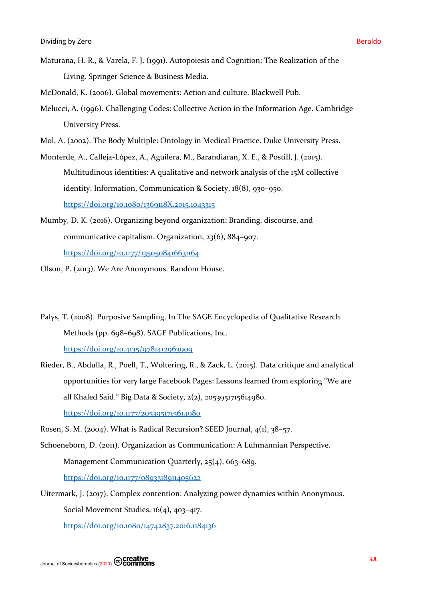- Maturana, H. R., & Varela, F. J. (1991). Autopoiesis and Cognition: The Realization of the Living. Springer Science & Business Media.
- McDonald, K. (2006). Global movements: Action and culture. Blackwell Pub.
- Melucci, A. (1996). Challenging Codes: Collective Action in the Information Age. Cambridge University Press.
- Mol, A. (2002). The Body Multiple: Ontology in Medical Practice. Duke University Press.
- Monterde, A., Calleja-López, A., Aguilera, M., Barandiaran, X. E., & Postill, J. (2015). Multitudinous identities: A qualitative and network analysis of the 15M collective identity. Information, Communication & Society, 18(8), 930–950. <https://doi.org/10.1080/1369118X.2015.1043315>
- Mumby, D. K. (2016). Organizing beyond organization: Branding, discourse, and communicative capitalism. Organization, 23(6), 884–907. <https://doi.org/10.1177/1350508416631164>
- Olson, P. (2013). We Are Anonymous. Random House.
- Palys, T. (2008). Purposive Sampling. In The SAGE Encyclopedia of Qualitative Research Methods (pp. 698–698). SAGE Publications, Inc.

<https://doi.org/10.4135/9781412963909>

- Rieder, B., Abdulla, R., Poell, T., Woltering, R., & Zack, L. (2015). Data critique and analytical opportunities for very large Facebook Pages: Lessons learned from exploring "We are all Khaled Said." Big Data & Society, 2(2), 2053951715614980. <https://doi.org/10.1177/2053951715614980>
- Rosen, S. M. (2004). What is Radical Recursion? SEED Journal, 4(1), 38–57.
- Schoeneborn, D. (2011). Organization as Communication: A Luhmannian Perspective. Management Communication Quarterly, 25(4), 663–689. <https://doi.org/10.1177/0893318911405622>
- Uitermark, J. (2017). Complex contention: Analyzing power dynamics within Anonymous. Social Movement Studies, 16(4), 403-417. <https://doi.org/10.1080/14742837.2016.1184136>